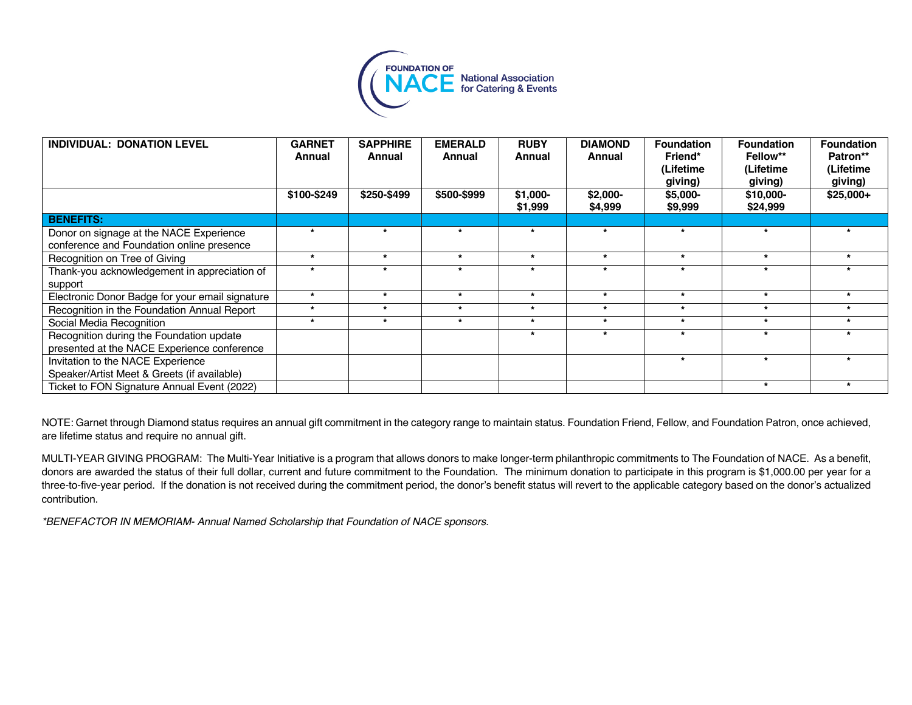

| INDIVIDUAL: DONATION LEVEL                      | <b>GARNET</b><br>Annual | <b>SAPPHIRE</b><br>Annual | <b>EMERALD</b><br>Annual | <b>RUBY</b><br>Annual | <b>DIAMOND</b><br>Annual | <b>Foundation</b><br>Friend*<br>(Lifetime<br>giving) | <b>Foundation</b><br>Fellow**<br>(Lifetime<br>giving) | <b>Foundation</b><br>Patron**<br>(Lifetime<br>giving) |
|-------------------------------------------------|-------------------------|---------------------------|--------------------------|-----------------------|--------------------------|------------------------------------------------------|-------------------------------------------------------|-------------------------------------------------------|
|                                                 | \$100-\$249             | \$250-\$499               | \$500-\$999              | $$1,000-$<br>\$1,999  | $$2,000-$<br>\$4,999     | $$5,000-$<br>\$9,999                                 | \$10,000-<br>\$24,999                                 | $$25,000+$                                            |
| <b>BENEFITS:</b>                                |                         |                           |                          |                       |                          |                                                      |                                                       |                                                       |
| Donor on signage at the NACE Experience         | $\star$                 | $\star$                   |                          | $\star$               | $\star$                  | ٠                                                    | $\star$                                               |                                                       |
| conference and Foundation online presence       |                         |                           |                          |                       |                          |                                                      |                                                       |                                                       |
| Recognition on Tree of Giving                   | $\star$                 | $\star$                   | ÷                        | $\star$               | $\star$                  | $\star$                                              | $\star$                                               |                                                       |
| Thank-you acknowledgement in appreciation of    | ٠                       |                           |                          | ٠                     |                          | $\overline{\phantom{a}}$                             | ۰                                                     |                                                       |
| support                                         |                         |                           |                          |                       |                          |                                                      |                                                       |                                                       |
| Electronic Donor Badge for your email signature | $\star$                 | $\star$                   | $\star$                  | $\star$               | $\star$                  | $\star$                                              | $\star$                                               |                                                       |
| Recognition in the Foundation Annual Report     | $\star$                 | $\star$                   | $\star$                  | $\star$               | $\star$                  | $\star$                                              | $\star$                                               | $\star$                                               |
| Social Media Recognition                        | $\star$                 | $\star$                   | $\star$                  | $\star$               | $\star$                  | $\star$                                              | $\star$                                               | $\star$                                               |
| Recognition during the Foundation update        |                         |                           |                          | $\star$               | $\star$                  | $\star$                                              | $\star$                                               |                                                       |
| presented at the NACE Experience conference     |                         |                           |                          |                       |                          |                                                      |                                                       |                                                       |
| Invitation to the NACE Experience               |                         |                           |                          |                       |                          | $\star$                                              |                                                       |                                                       |
| Speaker/Artist Meet & Greets (if available)     |                         |                           |                          |                       |                          |                                                      |                                                       |                                                       |
| Ticket to FON Signature Annual Event (2022)     |                         |                           |                          |                       |                          |                                                      | $\star$                                               |                                                       |

NOTE: Garnet through Diamond status requires an annual gift commitment in the category range to maintain status. Foundation Friend, Fellow, and Foundation Patron, once achieved, are lifetime status and require no annual gift.

MULTI-YEAR GIVING PROGRAM: The Multi-Year Initiative is a program that allows donors to make longer-term philanthropic commitments to The Foundation of NACE. As a benefit, donors are awarded the status of their full dollar, current and future commitment to the Foundation. The minimum donation to participate in this program is \$1,000.00 per year for a three-to-five-year period. If the donation is not received during the commitment period, the donor's benefit status will revert to the applicable category based on the donor's actualized contribution.

*\*BENEFACTOR IN MEMORIAM- Annual Named Scholarship that Foundation of NACE sponsors.*